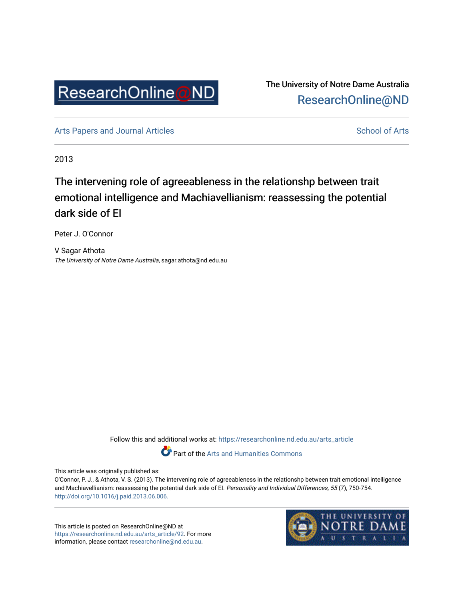

The University of Notre Dame Australia [ResearchOnline@ND](https://researchonline.nd.edu.au/) 

[Arts Papers and Journal Articles](https://researchonline.nd.edu.au/arts_article) and [School of Arts](https://researchonline.nd.edu.au/arts) School of Arts

2013

# The intervening role of agreeableness in the relationshp between trait emotional intelligence and Machiavellianism: reassessing the potential dark side of EI

Peter J. O'Connor

V Sagar Athota The University of Notre Dame Australia, sagar.athota@nd.edu.au

Follow this and additional works at: [https://researchonline.nd.edu.au/arts\\_article](https://researchonline.nd.edu.au/arts_article?utm_source=researchonline.nd.edu.au%2Farts_article%2F92&utm_medium=PDF&utm_campaign=PDFCoverPages) 

Part of the [Arts and Humanities Commons](http://network.bepress.com/hgg/discipline/438?utm_source=researchonline.nd.edu.au%2Farts_article%2F92&utm_medium=PDF&utm_campaign=PDFCoverPages) 

This article was originally published as:

O'Connor, P. J., & Athota, V. S. (2013). The intervening role of agreeableness in the relationshp between trait emotional intelligence and Machiavellianism: reassessing the potential dark side of El. Personality and Individual Differences, 55 (7), 750-754. <http://doi.org/10.1016/j.paid.2013.06.006.>

This article is posted on ResearchOnline@ND at [https://researchonline.nd.edu.au/arts\\_article/92.](https://researchonline.nd.edu.au/arts_article/92) For more information, please contact [researchonline@nd.edu.au.](mailto:researchonline@nd.edu.au)

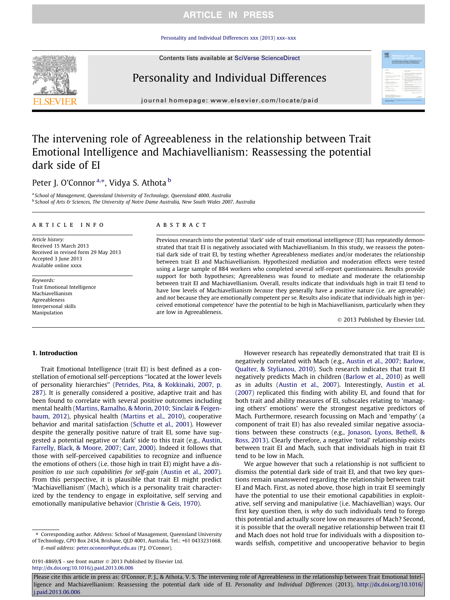## **ARTICLE IN PRESS**

[Personality and Individual Differences xxx \(2013\) xxx–xxx](http://dx.doi.org/10.1016/j.paid.2013.06.006)

Contents lists available at [SciVerse ScienceDirect](http://www.sciencedirect.com/science/journal/01918869)



## Personality and Individual Differences

journal homepage: [www.elsevier.com/locate/paid](http://www.elsevier.com/locate/paid)

## The intervening role of Agreeableness in the relationship between Trait Emotional Intelligence and Machiavellianism: Reassessing the potential dark side of EI

### Peter J. O'Connor <sup>a,</sup>\*, Vidya S. Athota <sup>b</sup>

<sup>a</sup> School of Management, Queensland University of Technology, Queensland 4000, Australia <sup>b</sup> School of Arts & Sciences, The University of Notre Dame Australia, New South Wales 2007, Australia

#### article info

Article history: Received 15 March 2013 Received in revised form 29 May 2013 Accepted 3 June 2013 Available online xxxx

Keywords: Trait Emotional Intelligence Machiavellianism Agreeableness Interpersonal skills Manipulation

#### **ABSTRACT**

Previous research into the potential 'dark' side of trait emotional intelligence (EI) has repeatedly demonstrated that trait EI is negatively associated with Machiavellianism. In this study, we reassess the potential dark side of trait EI, by testing whether Agreeableness mediates and/or moderates the relationship between trait EI and Machiavellianism. Hypothesized mediation and moderation effects were tested using a large sample of 884 workers who completed several self-report questionnaires. Results provide support for both hypotheses; Agreeableness was found to mediate and moderate the relationship between trait EI and Machiavellianism. Overall, results indicate that individuals high in trait EI tend to have low levels of Machiavellianism because they generally have a positive nature (i.e. are agreeable) and not because they are emotionally competent per se. Results also indicate that individuals high in 'perceived emotional competence' have the potential to be high in Machiavellianism, particularly when they are low in Agreeableness.

© 2013 Published by Elsevier Ltd.

AN INTERNATIONAL JOURNAL OF RESEARCH RITO

#### 1. Introduction

Trait Emotional Intelligence (trait EI) is best defined as a constellation of emotional self-perceptions ''located at the lower levels of personality hierarchies'' ([Petrides, Pita, & Kokkinaki, 2007, p.](#page-5-0) [287\)](#page-5-0). It is generally considered a positive, adaptive trait and has been found to correlate with several positive outcomes including mental health ([Martins, Ramalho, & Morin, 2010; Sinclair & Feigen](#page-5-0)[baum, 2012\)](#page-5-0), physical health [\(Martins et al., 2010\)](#page-5-0), cooperative behavior and marital satisfaction [\(Schutte et al., 2001](#page-5-0)). However despite the generally positive nature of trait EI, some have suggested a potential negative or 'dark' side to this trait (e.g., [Austin,](#page-5-0) [Farrelly, Black, & Moore, 2007; Carr, 2000\)](#page-5-0). Indeed it follows that those with self-perceived capabilities to recognize and influence the emotions of others (i.e. those high in trait EI) might have a disposition to use such capabilities for self-gain ([Austin et al., 2007\)](#page-5-0). From this perspective, it is plausible that trait EI might predict 'Machiavellianism' (Mach), which is a personality trait characterized by the tendency to engage in exploitative, self serving and emotionally manipulative behavior ([Christie & Geis, 1970](#page-5-0)).

0191-8869/\$ - see front matter © 2013 Published by Elsevier Ltd. <http://dx.doi.org/10.1016/j.paid.2013.06.006>

However research has repeatedly demonstrated that trait EI is negatively correlated with Mach (e.g., [Austin et al., 2007; Barlow,](#page-5-0) [Qualter, & Stylianou, 2010](#page-5-0)). Such research indicates that trait EI negatively predicts Mach in children ([Barlow et al., 2010\)](#page-5-0) as well as in adults [\(Austin et al., 2007](#page-5-0)). Interestingly, [Austin et al.](#page-5-0) [\(2007\)](#page-5-0) replicated this finding with ability EI, and found that for both trait and ability measures of EI, subscales relating to 'managing others' emotions' were the strongest negative predictors of Mach. Furthermore, research focussing on Mach and 'empathy' (a component of trait EI) has also revealed similar negative associations between these constructs (e.g., [Jonason, Lyons, Bethell, &](#page-5-0) [Ross, 2013\)](#page-5-0). Clearly therefore, a negative 'total' relationship exists between trait EI and Mach, such that individuals high in trait EI tend to be low in Mach.

We argue however that such a relationship is not sufficient to dismiss the potential dark side of trait EI, and that two key questions remain unanswered regarding the relationship between trait EI and Mach. First, as noted above, those high in trait EI seemingly have the potential to use their emotional capabilities in exploitative, self serving and manipulative (i.e. Machiavellian) ways. Our first key question then, is why do such individuals tend to forego this potential and actually score low on measures of Mach? Second, it is possible that the overall negative relationship between trait EI and Mach does not hold true for individuals with a disposition towards selfish, competitive and uncooperative behavior to begin

Please cite this article in press as: O'Connor, P. J., & Athota, V. S. The intervening role of Agreeableness in the relationship between Trait Emotional Intelligence and Machiavellianism: Reassessing the potential dark side of EI. Personality and Individual Differences (2013), [http://dx.doi.org/10.1016/](http://dx.doi.org/10.1016/j.paid.2013.06.006) [j.paid.2013.06.006](http://dx.doi.org/10.1016/j.paid.2013.06.006)

<sup>⇑</sup> Corresponding author. Address: School of Management, Queensland University of Technology, GPO Box 2434, Brisbane, QLD 4001, Australia. Tel.: +61 0433231668. E-mail address: [peter.oconnor@qut.edu.au](mailto:peter.oconnor@qut.edu.au) (P.J. O'Connor).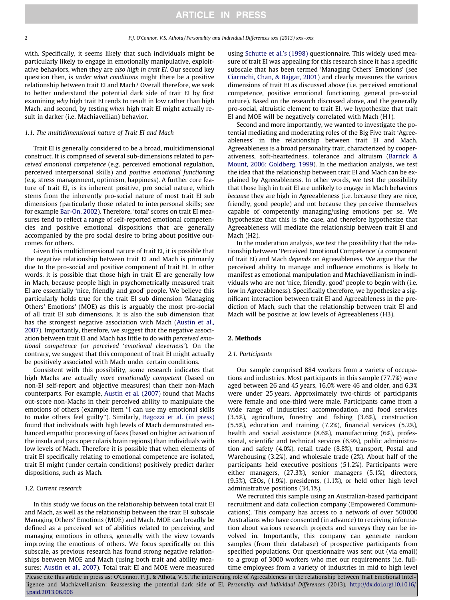with. Specifically, it seems likely that such individuals might be particularly likely to engage in emotionally manipulative, exploitative behaviors, when they are also high in trait EI. Our second key question then, is under what conditions might there be a positive relationship between trait EI and Mach? Overall therefore, we seek to better understand the potential dark side of trait EI by first examining why high trait EI tends to result in low rather than high Mach, and second, by testing when high trait EI might actually result in darker (i.e. Machiavellian) behavior.

#### 1.1. The multidimensional nature of Trait EI and Mach

Trait EI is generally considered to be a broad, multidimensional construct. It is comprised of several sub-dimensions related to perceived emotional competence (e.g. perceived emotional regulation, perceived interpersonal skills) and positive emotional functioning (e.g. stress management, optimism, happiness). A further core feature of trait EI, is its inherent positive, pro social nature, which stems from the inherently pro-social nature of most trait EI sub dimensions (particularly those related to interpersonal skills; see for example [Bar-On, 2002](#page-5-0)). Therefore, 'total' scores on trait EI measures tend to reflect a range of self-reported emotional competencies and positive emotional dispositions that are generally accompanied by the pro social desire to bring about positive outcomes for others.

Given this multidimensional nature of trait EI, it is possible that the negative relationship between trait EI and Mach is primarily due to the pro-social and positive component of trait EI. In other words, it is possible that those high in trait EI are generally low in Mach, because people high in psychometrically measured trait EI are essentially 'nice, friendly and good' people. We believe this particularly holds true for the trait EI sub dimension 'Managing Others' Emotions' (MOE) as this is arguably the most pro-social of all trait EI sub dimensions. It is also the sub dimension that has the strongest negative association with Mach [\(Austin et al.,](#page-5-0) [2007\)](#page-5-0). Importantly, therefore, we suggest that the negative association between trait EI and Mach has little to do with perceived emotional competence (or perceived 'emotional cleverness'). On the contrary, we suggest that this component of trait EI might actually be positively associated with Mach under certain conditions.

Consistent with this possibility, some research indicates that high Machs are actually more emotionally competent (based on non-EI self-report and objective measures) than their non-Mach counterparts. For example, [Austin et al. \(2007\)](#page-5-0) found that Machs out-score non-Machs in their perceived ability to manipulate the emotions of others (example item ''I can use my emotional skills to make others feel guilty''). Similarly, [Bagozzi et al. \(in press\)](#page-5-0) found that individuals with high levels of Mach demonstrated enhanced empathic processing of faces (based on higher activation of the insula and pars opercularis brain regions) than individuals with low levels of Mach. Therefore it is possible that when elements of trait EI specifically relating to emotional competence are isolated, trait EI might (under certain conditions) positively predict darker dispositions, such as Mach.

#### 1.2. Current research

In this study we focus on the relationship between total trait EI and Mach, as well as the relationship between the trait EI subscale Managing Others' Emotions (MOE) and Mach. MOE can broadly be defined as a perceived set of abilities related to perceiving and managing emotions in others, generally with the view towards improving the emotions of others. We focus specifically on this subscale, as previous research has found strong negative relationships between MOE and Mach (using both trait and ability measures; [Austin et al., 2007](#page-5-0)). Total trait EI and MOE were measured using [Schutte et al.'s \(1998\)](#page-5-0) questionnaire. This widely used measure of trait EI was appealing for this research since it has a specific subscale that has been termed 'Managing Others' Emotions' (see [Ciarrochi, Chan, & Bajgar, 2001](#page-5-0)) and clearly measures the various dimensions of trait EI as discussed above (i.e. perceived emotional competence, positive emotional functioning, general pro-social nature). Based on the research discussed above, and the generally pro-social, altruistic element to trait EI, we hypothesize that trait EI and MOE will be negatively correlated with Mach (H1).

Second and more importantly, we wanted to investigate the potential mediating and moderating roles of the Big Five trait 'Agreeableness' in the relationship between trait EI and Mach. Agreeableness is a broad personality trait, characterized by cooperativeness, soft-heartedness, tolerance and altruism ([Barrick &](#page-5-0) [Mount, 2006; Goldberg, 1999\)](#page-5-0). In the mediation analysis, we test the idea that the relationship between trait EI and Mach can be explained by Agreeableness. In other words, we test the possibility that those high in trait EI are unlikely to engage in Mach behaviors because they are high in Agreeableness (i.e. because they are nice, friendly, good people) and not because they perceive themselves capable of competently managing/using emotions per se. We hypothesize that this is the case, and therefore hypothesize that Agreeableness will mediate the relationship between trait EI and Mach (H2).

In the moderation analysis, we test the possibility that the relationship between 'Perceived Emotional Competence' (a component of trait EI) and Mach depends on Agreeableness. We argue that the perceived ability to manage and influence emotions is likely to manifest as emotional manipulation and Machiavellianism in individuals who are not 'nice, friendly, good' people to begin with (i.e. low in Agreeableness). Specifically therefore, we hypothesize a significant interaction between trait EI and Agreeableness in the prediction of Mach, such that the relationship between trait EI and Mach will be positive at low levels of Agreeableness (H3).

#### 2. Methods

#### 2.1. Participants

Our sample comprised 884 workers from a variety of occupations and industries. Most participants in this sample (77.7%) were aged between 26 and 45 years, 16.0% were 46 and older, and 6.3% were under 25 years. Approximately two-thirds of participants were female and one-third were male. Participants came from a wide range of industries: accommodation and food services (3.5%), agriculture, forestry and fishing (3.6%), construction (5.5%), education and training (7.2%), financial services (5.2%), health and social assistance (8.6%), manufacturing (6%), professional, scientific and technical services (6.9%), public administration and safety (4.0%), retail trade (8.8%), transport, Postal and Warehousing (3.2%), and wholesale trade (2%). About half of the participants held executive positions (51.2%). Participants were either managers, (27.3%), senior managers (5.1%), directors, (9.5%), CEOs, (1.9%), presidents, (1.1%), or held other high level administrative positions (34.1%).

We recruited this sample using an Australian-based participant recruitment and data collection company (Empowered Communications). This company has access to a network of over 500 000 Australians who have consented (in advance) to receiving information about various research projects and surveys they can be involved in. Importantly, this company can generate random samples (from their database) of prospective participants from specified populations. Our questionnaire was sent out (via email) to a group of 3000 workers who met our requirements (i.e. fulltime employees from a variety of industries in mid to high level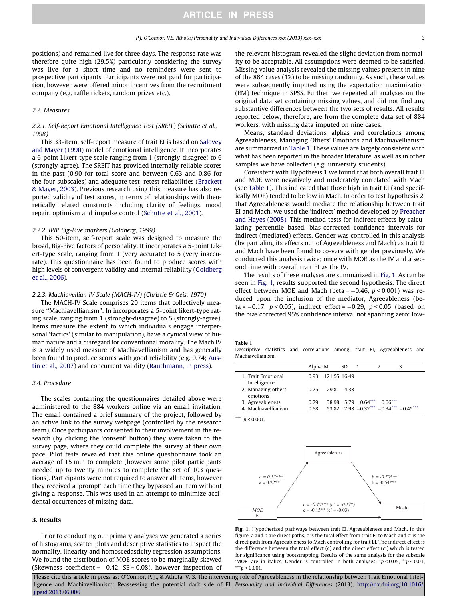<span id="page-3-0"></span>positions) and remained live for three days. The response rate was therefore quite high (29.5%) particularly considering the survey was live for a short time and no reminders were sent to prospective participants. Participants were not paid for participation, however were offered minor incentives from the recruitment company (e.g. raffle tickets, random prizes etc.).

#### 2.2. Measures

#### 2.2.1. Self-Report Emotional Intelligence Test (SREIT) (Schutte et al., 1998)

This 33-item, self-report measure of trait EI is based on [Salovey](#page-5-0) [and Mayer \(1990\)](#page-5-0) model of emotional intelligence. It incorporates a 6-point Likert-type scale ranging from 1 (strongly-disagree) to 6 (strongly-agree). The SREIT has provided internally reliable scores in the past (0.90 for total score and between 0.63 and 0.86 for the four subscales) and adequate test–retest reliabilities [\(Brackett](#page-5-0) [& Mayer, 2003](#page-5-0)). Previous research using this measure has also reported validity of test scores, in terms of relationships with theoretically related constructs including clarity of feelings, mood repair, optimism and impulse control ([Schutte et al., 2001\)](#page-5-0).

#### 2.2.2. IPIP Big-Five markers (Goldberg, 1999)

This 50-item, self-report scale was designed to measure the broad, Big-Five factors of personality. It incorporates a 5-point Likert-type scale, ranging from 1 (very accurate) to 5 (very inaccurate). This questionnaire has been found to produce scores with high levels of convergent validity and internal reliability [\(Goldberg](#page-5-0) [et al., 2006\)](#page-5-0).

#### 2.2.3. Machiavellian IV Scale (MACH-IV) (Christie & Geis, 1970)

The MACH-IV Scale comprises 20 items that collectively measure ''Machiavellianism''. In incorporates a 5-point likert-type rating scale, ranging from 1 (strongly-disagree) to 5 (strongly-agree). Items measure the extent to which individuals engage interpersonal 'tactics' (similar to manipulation), have a cynical view of human nature and a disregard for conventional morality. The Mach IV is a widely used measure of Machiavellianism and has generally been found to produce scores with good reliability (e.g. 0.74; [Aus](#page-5-0)[tin et al., 2007\)](#page-5-0) and concurrent validity [\(Rauthmann, in press](#page-5-0)).

#### 2.4. Procedure

The scales containing the questionnaires detailed above were administered to the 884 workers online via an email invitation. The email contained a brief summary of the project, followed by an active link to the survey webpage (controlled by the research team). Once participants consented to their involvement in the research (by clicking the 'consent' button) they were taken to the survey page, where they could complete the survey at their own pace. Pilot tests revealed that this online questionnaire took an average of 15 min to complete (however some pilot participants needed up to twenty minutes to complete the set of 103 questions). Participants were not required to answer all items, however they received a 'prompt' each time they bypassed an item without giving a response. This was used in an attempt to minimize accidental occurrences of missing data.

#### 3. Results

Prior to conducting our primary analyses we generated a series of histograms, scatter plots and descriptive statistics to inspect the normality, linearity and homoscedasticity regression assumptions. We found the distribution of MOE scores to be marginally skewed (Skewness coefficient = -0.42, SE = 0.08), however inspection of

the relevant histogram revealed the slight deviation from normality to be acceptable. All assumptions were deemed to be satisfied. Missing value analysis revealed the missing values present in nine of the 884 cases (1%) to be missing randomly. As such, these values were subsequently imputed using the expectation maximization (EM) technique in SPSS. Further, we repeated all analyses on the original data set containing missing values, and did not find any substantive differences between the two sets of results. All results reported below, therefore, are from the complete data set of 884 workers, with missing data imputed on nine cases.

Means, standard deviations, alphas and correlations among Agreeableness, Managing Others' Emotions and Machiavellianism are summarized in Table 1. These values are largely consistent with what has been reported in the broader literature, as well as in other samples we have collected (e.g. university students).

Consistent with Hypothesis 1 we found that both overall trait EI and MOE were negatively and moderately correlated with Mach (see Table 1). This indicated that those high in trait EI (and specifically MOE) tended to be low in Mach. In order to test hypothesis 2, that Agreeableness would mediate the relationship between trait EI and Mach, we used the 'indirect' method developed by [Preacher](#page-5-0) [and Hayes \(2008\).](#page-5-0) This method tests for indirect effects by calculating percentile based, bias-corrected confidence intervals for indirect (mediated) effects. Gender was controlled in this analysis (by partialing its effects out of Agreeableness and Mach) as trait EI and Mach have been found to co-vary with gender previously. We conducted this analysis twice; once with MOE as the IV and a second time with overall trait EI as the IV.

The results of these analyses are summarized in Fig. 1. As can be seen in Fig. 1, results supported the second hypothesis. The direct effect between MOE and Mach (beta =  $-0.46$ ,  $p < 0.001$ ) was reduced upon the inclusion of the mediator, Agreeableness (beta =  $-0.17$ ,  $p < 0.05$ ), indirect effect =  $-0.29$ ,  $p < 0.05$  (based on the bias corrected 95% confidence interval not spanning zero: low-

#### Table 1

Descriptive statistics and correlations among, trait EI, Agreeableness and Machiavellianism.

|                                   | Alpha M |              | SD. |                    |                                                                                     |  |
|-----------------------------------|---------|--------------|-----|--------------------|-------------------------------------------------------------------------------------|--|
| 1 Trait Emotional<br>Intelligence | 0.93    | 121.55 16.49 |     |                    |                                                                                     |  |
| 2. Managing others'<br>emotions   | 0.75    | 29.81 4.38   |     |                    |                                                                                     |  |
| 3. Agreeableness                  | 0.79    |              |     | 38.98 5.79 0.64*** | $0.66***$                                                                           |  |
| 4. Machiavellianism               | 0.68    |              |     |                    | $53.82$ $7.98$ $-0.32$ <sup>***</sup> $-0.34$ <sup>***</sup> $-0.45$ <sup>***</sup> |  |

\*\*\*  $p < 0.001$ .



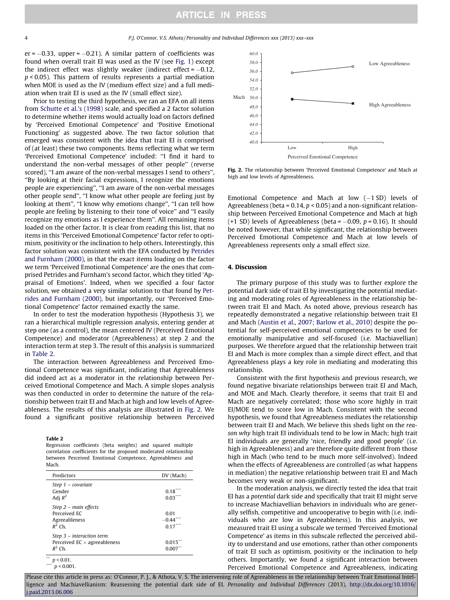### **ARTICLE IN PRESS**

er = –0.33, upper = –0.21). A similar pattern of coefficients was found when overall trait EI was used as the IV (see [Fig. 1](#page-3-0)) except the indirect effect was slightly weaker (indirect effect= –0.12,  $p < 0.05$ ). This pattern of results represents a partial mediation when MOE is used as the IV (medium effect size) and a full mediation when trait EI is used as the IV (small effect size).

Prior to testing the third hypothesis, we ran an EFA on all items from [Schutte et al.'s \(1998\)](#page-5-0) scale, and specified a 2 factor solution to determine whether items would actually load on factors defined by 'Perceived Emotional Competence' and 'Positive Emotional Functioning' as suggested above. The two factor solution that emerged was consistent with the idea that trait EI is comprised of (at least) these two components. Items reflecting what we term 'Perceived Emotional Competence' included: ''I find it hard to understand the non-verbal messages of other people'' (reverse scored), ''I am aware of the non-verbal messages I send to others'', ''By looking at their facial expressions, I recognize the emotions people are experiencing'', ''I am aware of the non-verbal messages other people send'', ''I know what other people are feeling just by looking at them", "I know why emotions change", "I can tell how people are feeling by listening to their tone of voice'' and ''I easily recognize my emotions as I experience them''. All remaining items loaded on the other factor. It is clear from reading this list, that no items in this 'Perceived Emotional Competence' factor refer to optimism, positivity or the inclination to help others. Interestingly, this factor solution was consistent with the EFA conducted by [Petrides](#page-5-0) [and Furnham \(2000\),](#page-5-0) in that the exact items loading on the factor we term 'Perceived Emotional Competence' are the ones that comprised Petrides and Furnham's second factor, which they titled 'Appraisal of Emotions'. Indeed, when we specified a four factor solution, we obtained a very similar solution to that found by [Pet](#page-5-0)[rides and Furnham \(2000\)](#page-5-0), but importantly, our 'Perceived Emotional Competence' factor remained exactly the same.

In order to test the moderation hypothesis (Hypothesis 3), we ran a hierarchical multiple regression analysis, entering gender at step one (as a control), the mean centered IV (Perceived Emotional Competence) and moderator (Agreeableness) at step 2 and the interaction term at step 3. The result of this analysis is summarized in Table 2.

The interaction between Agreeableness and Perceived Emotional Competence was significant, indicating that Agreeableness did indeed act as a moderator in the relationship between Perceived Emotional Competence and Mach. A simple slopes analysis was then conducted in order to determine the nature of the relationship between trait EI and Mach at high and low levels of Agreeableness. The results of this analysis are illustrated in Fig. 2. We found a significant positive relationship between Perceived

Table 2

|       | Regression coefficients (beta weights) and squared multiple      |  |  |  |
|-------|------------------------------------------------------------------|--|--|--|
|       | correlation coefficients for the proposed moderated relationship |  |  |  |
|       | between Perceived Emotional Competence. Agreeableness and        |  |  |  |
| Mach. |                                                                  |  |  |  |

| Predictors                          | DV (Mach)           |
|-------------------------------------|---------------------|
| Step $1$ – covariate                |                     |
| Gender                              | 0.18                |
| Adj $R^2$                           | $0.03^{\circ}$      |
| Step $2$ – main effects             |                     |
| Perceived EC                        | 0.01                |
| Agreeableness                       | $-0.44$             |
| $R^2$ Ch.                           | $0.17$ <sup>*</sup> |
| Step 3 – interaction term           |                     |
| Perceived $EC \times$ agreeableness | 0.015               |
| $R^2$ Ch.                           | 0.007               |



Perceived Emotional Competence

Fig. 2. The relationship between 'Perceived Emotional Competence' and Mach at high and low levels of Agreeableness.

Emotional Competence and Mach at low  $(-1 SD)$  levels of Agreeableness (beta =  $0.14$ ,  $p < 0.05$ ) and a non-significant relationship between Perceived Emotional Competence and Mach at high  $(+1)$  SD) levels of Agreeableness (beta =  $-0.09$ ,  $p$  = 0.16). It should be noted however, that while significant, the relationship between Perceived Emotional Competence and Mach at low levels of Agreeableness represents only a small effect size.

#### 4. Discussion

The primary purpose of this study was to further explore the potential dark side of trait EI by investigating the potential mediating and moderating roles of Agreeableness in the relationship between trait EI and Mach. As noted above, previous research has repeatedly demonstrated a negative relationship between trait EI and Mach ([Austin et al., 2007; Barlow et al., 2010\)](#page-5-0) despite the potential for self-perceived emotional competencies to be used for emotionally manipulative and self-focused (i.e. Machiavellian) purposes. We therefore argued that the relationship between trait EI and Mach is more complex than a simple direct effect, and that Agreeableness plays a key role in mediating and moderating this relationship.

Consistent with the first hypothesis and previous research, we found negative bivariate relationships between trait EI and Mach, and MOE and Mach. Clearly therefore, it seems that trait EI and Mach are negatively correlated; those who score highly in trait EI/MOE tend to score low in Mach. Consistent with the second hypothesis, we found that Agreeableness mediates the relationship between trait EI and Mach. We believe this sheds light on the reason why high trait EI individuals tend to be low in Mach; high trait EI individuals are generally 'nice, friendly and good people' (i.e. high in Agreeableness) and are therefore quite different from those high in Mach (who tend to be much more self-involved). Indeed when the effects of Agreeableness are controlled (as what happens in mediation) the negative relationship between trait EI and Mach becomes very weak or non-significant.

In the moderation analysis, we directly tested the idea that trait EI has a potential dark side and specifically that trait EI might serve to increase Machiavellian behaviors in individuals who are generally selfish, competitive and uncooperative to begin with (i.e. individuals who are low in Agreeableness). In this analysis, we measured trait EI using a subscale we termed 'Perceived Emotional Competence' as items in this subscale reflected the perceived ability to understand and use emotions, rather than other components of trait EI such as optimism, positivity or the inclination to help others. Importantly, we found a significant interaction between Perceived Emotional Competence and Agreeableness, indicating